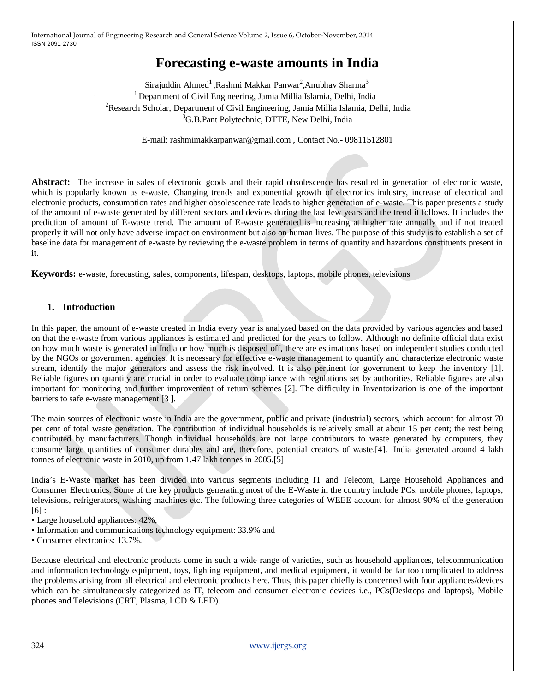# **Forecasting e-waste amounts in India**

Sirajuddin Ahmed<sup>1</sup>,Rashmi Makkar Panwar<sup>2</sup>,Anubhav Sharma<sup>3</sup> <sup>1</sup> Department of Civil Engineering, Jamia Millia Islamia, Delhi, India <sup>2</sup>Research Scholar, Department of Civil Engineering, Jamia Millia Islamia, Delhi, India <sup>3</sup>G.B.Pant Polytechnic, DTTE, New Delhi, India

E-mail: rashmimakkarpanwar@gmail.com , Contact No.- 09811512801

Abstract: The increase in sales of electronic goods and their rapid obsolescence has resulted in generation of electronic waste, which is popularly known as e-waste. Changing trends and exponential growth of electronics industry, increase of electrical and electronic products, consumption rates and higher obsolescence rate leads to higher generation of e-waste. This paper presents a study of the amount of e-waste generated by different sectors and devices during the last few years and the trend it follows. It includes the prediction of amount of E-waste trend. The amount of E-waste generated is increasing at higher rate annually and if not treated properly it will not only have adverse impact on environment but also on human lives. The purpose of this study is to establish a set of baseline data for management of e-waste by reviewing the e-waste problem in terms of quantity and hazardous constituents present in it.

**Keywords:** e-waste, forecasting, sales, components, lifespan, desktops, laptops, mobile phones, televisions

## **1. Introduction**

In this paper, the amount of e-waste created in India every year is analyzed based on the data provided by various agencies and based on that the e-waste from various appliances is estimated and predicted for the years to follow. Although no definite official data exist on how much waste is generated in India or how much is disposed off, there are estimations based on independent studies conducted by the NGOs or government agencies. It is necessary for effective e-waste management to quantify and characterize electronic waste stream, identify the major generators and assess the risk involved. It is also pertinent for government to keep the inventory [1]. Reliable figures on quantity are crucial in order to evaluate compliance with regulations set by authorities. Reliable figures are also important for monitoring and further improvement of return schemes [2]. The difficulty in Inventorization is one of the important barriers to safe e-waste management [3 ].

The main sources of electronic waste in India are the government, public and private (industrial) sectors, which account for almost 70 per cent of total waste generation. The contribution of individual households is relatively small at about 15 per cent; the rest being contributed by manufacturers. Though individual households are not large contributors to waste generated by computers, they consume large quantities of consumer durables and are, therefore, potential creators of waste.[4]. India generated around 4 lakh tonnes of electronic waste in 2010, up from 1.47 lakh tonnes in 2005.[5]

India"s E-Waste market has been divided into various segments including IT and Telecom, Large Household Appliances and Consumer Electronics. Some of the key products generating most of the E-Waste in the country include PCs, mobile phones, laptops, televisions, refrigerators, washing machines etc. The following three categories of WEEE account for almost 90% of the generation  $[6]$  :

- Large household appliances: 42%,
- Information and communications technology equipment: 33.9% and
- Consumer electronics: 13.7%.

Because electrical and electronic products come in such a wide range of varieties, such as household appliances, telecommunication and information technology equipment, toys, lighting equipment, and medical equipment, it would be far too complicated to address the problems arising from all electrical and electronic products here. Thus, this paper chiefly is concerned with four appliances/devices which can be simultaneously categorized as IT, telecom and consumer electronic devices i.e., PCs(Desktops and laptops), Mobile phones and Televisions (CRT, Plasma, LCD & LED).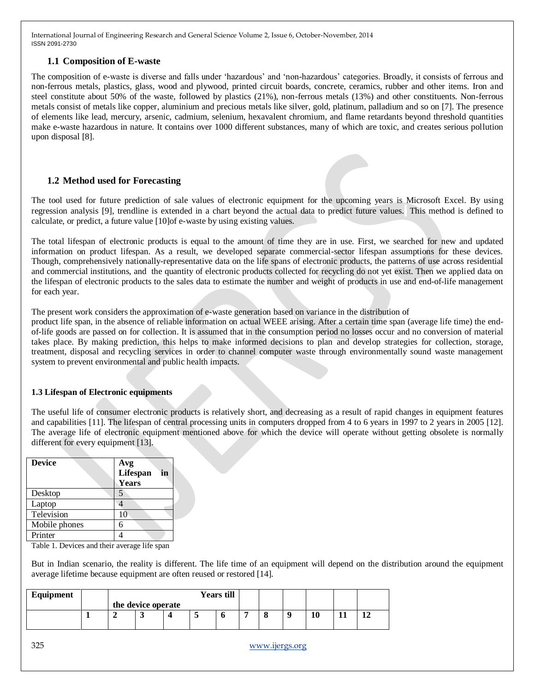## **1.1 Composition of E-waste**

The composition of e-waste is diverse and falls under "hazardous" and "non-hazardous" categories. Broadly, it consists of ferrous and non-ferrous metals, plastics, glass, wood and plywood, printed circuit boards, concrete, ceramics, rubber and other items. Iron and steel constitute about 50% of the waste, followed by plastics (21%), non-ferrous metals (13%) and other constituents. Non-ferrous metals consist of metals like copper, aluminium and precious metals like silver, gold, platinum, palladium and so on [7]. The presence of elements like lead, mercury, arsenic, cadmium, selenium, hexavalent chromium, and flame retardants beyond threshold quantities make e-waste hazardous in nature. It contains over 1000 different substances, many of which are toxic, and creates serious pollution upon disposal [8].

## **1.2 Method used for Forecasting**

The tool used for future prediction of sale values of electronic equipment for the upcoming years is Microsoft Excel. By using regression analysis [9], trendline is extended in a chart beyond the actual data to predict future values. This method is defined to calculate, or predict, a future value [10]of e-waste by using existing values.

The total lifespan of electronic products is equal to the amount of time they are in use. First, we searched for new and updated information on product lifespan. As a result, we developed separate commercial-sector lifespan assumptions for these devices. Though, comprehensively nationally-representative data on the life spans of electronic products, the patterns of use across residential and commercial institutions, and the quantity of electronic products collected for recycling do not yet exist. Then we applied data on the lifespan of electronic products to the sales data to estimate the number and weight of products in use and end-of-life management for each year.

The present work considers the approximation of e-waste generation based on variance in the distribution of

product life span, in the absence of reliable information on actual WEEE arising. After a certain time span (average life time) the endof-life goods are passed on for collection. It is assumed that in the consumption period no losses occur and no conversion of material takes place. By making prediction, this helps to make informed decisions to plan and develop strategies for collection, storage, treatment, disposal and recycling services in order to channel computer waste through environmentally sound waste management system to prevent environmental and public health impacts.

## **1.3 Lifespan of Electronic equipments**

The useful life of consumer electronic products is relatively short, and decreasing as a result of rapid changes in equipment features and capabilities [11]. The lifespan of central processing units in computers dropped from 4 to 6 years in 1997 to 2 years in 2005 [12]. The average life of electronic equipment mentioned above for which the device will operate without getting obsolete is normally different for every equipment [13].

| <b>Device</b> | Avg<br>Lifespan<br>in<br>Years |
|---------------|--------------------------------|
| Desktop       |                                |
| Laptop        |                                |
| Television    | 10                             |
| Mobile phones | 6                              |
| Printer       |                                |

Table 1. Devices and their average life span

But in Indian scenario, the reality is different. The life time of an equipment will depend on the distribution around the equipment average lifetime because equipment are often reused or restored [14].

| Equipment | <b>Years till</b> |                    |  |  |  |  |    |   |  |
|-----------|-------------------|--------------------|--|--|--|--|----|---|--|
|           |                   | the device operate |  |  |  |  |    |   |  |
|           |                   |                    |  |  |  |  | 10 | . |  |
|           |                   |                    |  |  |  |  |    |   |  |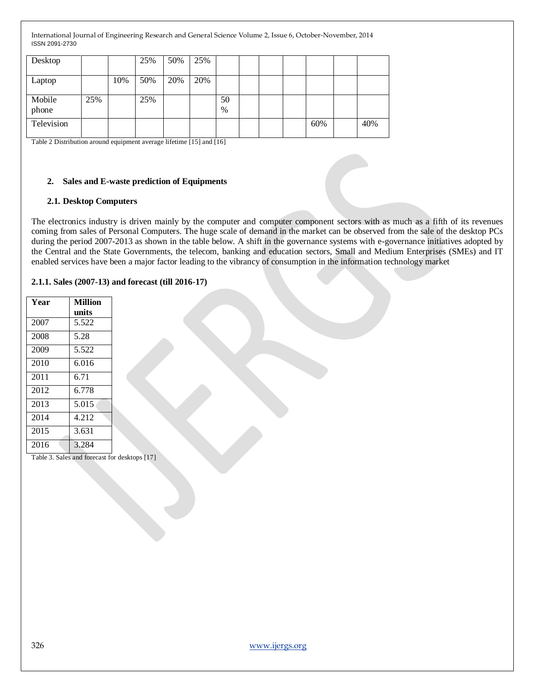| Desktop         |     |     | 25% | 50% | 25% |            |  |     |     |
|-----------------|-----|-----|-----|-----|-----|------------|--|-----|-----|
| Laptop          |     | 10% | 50% | 20% | 20% |            |  |     |     |
| Mobile<br>phone | 25% |     | 25% |     |     | 50<br>$\%$ |  |     |     |
| Television      |     |     |     |     |     |            |  | 60% | 40% |

Table 2 Distribution around equipment average lifetime [15] and [16]

#### **2. Sales and E-waste prediction of Equipments**

#### **2.1. Desktop Computers**

The electronics industry is driven mainly by the computer and computer component sectors with as much as a fifth of its revenues coming from sales of Personal Computers. The huge scale of demand in the market can be observed from the sale of the desktop PCs during the period 2007-2013 as shown in the table below. A shift in the governance systems with e-governance initiatives adopted by the Central and the State Governments, the telecom, banking and education sectors, Small and Medium Enterprises (SMEs) and IT enabled services have been a major factor leading to the vibrancy of consumption in the information technology market

#### **2.1.1. Sales (2007-13) and forecast (till 2016-17)**

| Year | <b>Million</b> |
|------|----------------|
|      | units          |
| 2007 | 5.522          |
| 2008 | 5.28           |
| 2009 | 5.522          |
| 2010 | 6.016          |
| 2011 | 6.71           |
| 2012 | 6.778          |
| 2013 | 5.015          |
| 2014 | 4.212          |
| 2015 | 3.631          |
| 2016 | 3.284          |

Table 3. Sales and forecast for desktops [17]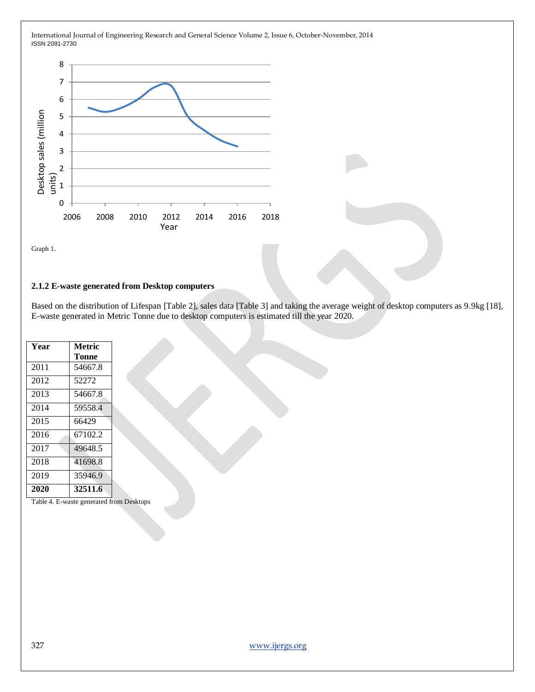

Graph 1.

#### **2.1.2 E-waste generated from Desktop computers**

Based on the distribution of Lifespan [Table 2], sales data [Table 3] and taking the average weight of desktop computers as 9.9kg [18], E-waste generated in Metric Tonne due to desktop computers is estimated till the year 2020.

| Year | Metric  |
|------|---------|
|      | Tonne   |
| 2011 | 54667.8 |
| 2012 | 52272   |
| 2013 | 54667.8 |
| 2014 | 59558.4 |
| 2015 | 66429   |
| 2016 | 67102.2 |
| 2017 | 49648.5 |
| 2018 | 41698.8 |
| 2019 | 35946.9 |
| 2020 | 32511.6 |

Table 4. E-waste generated from Desktops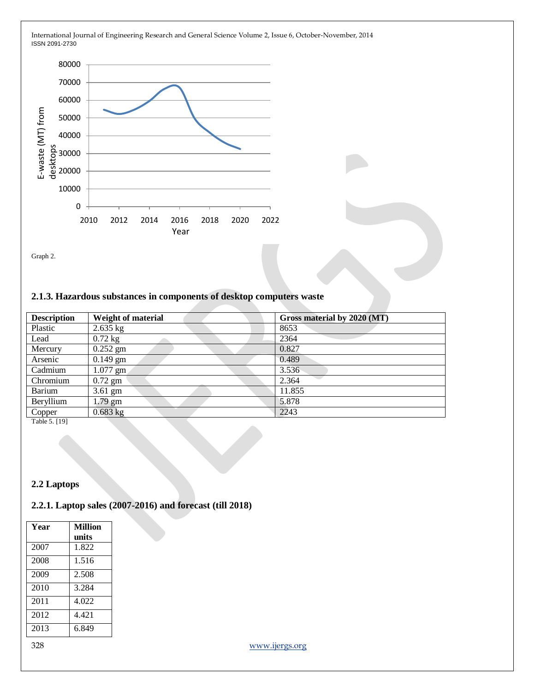

Graph 2.

#### **2.1.3. Hazardous substances in components of desktop computers waste**

| <b>Description</b>  | <b>Weight of material</b> | Gross material by 2020 (MT) |
|---------------------|---------------------------|-----------------------------|
| Plastic             | $2.635$ kg                | 8653                        |
| Lead                | $0.72$ kg                 | 2364                        |
| Mercury             | $0.252$ gm                | 0.827                       |
| Arsenic             | $0.149$ gm                | 0.489                       |
| Cadmium             | $1.077$ gm                | 3.536                       |
| Chromium            | $0.72$ gm                 | 2.364                       |
| Barium              | $3.61$ gm                 | 11.855                      |
| Beryllium           | $1.79$ gm                 | 5.878                       |
| Copper<br>--------- | $0.683$ kg                | 2243                        |

Table 5. [19]

#### **2.2 Laptops**

# **2.2.1. Laptop sales (2007-2016) and forecast (till 2018)**

| Year | <b>Million</b> |
|------|----------------|
|      | units          |
| 2007 | 1.822          |
| 2008 | 1.516          |
| 2009 | 2.508          |
| 2010 | 3.284          |
| 2011 | 4.022          |
| 2012 | 4.421          |
| 2013 | 6.849          |
|      |                |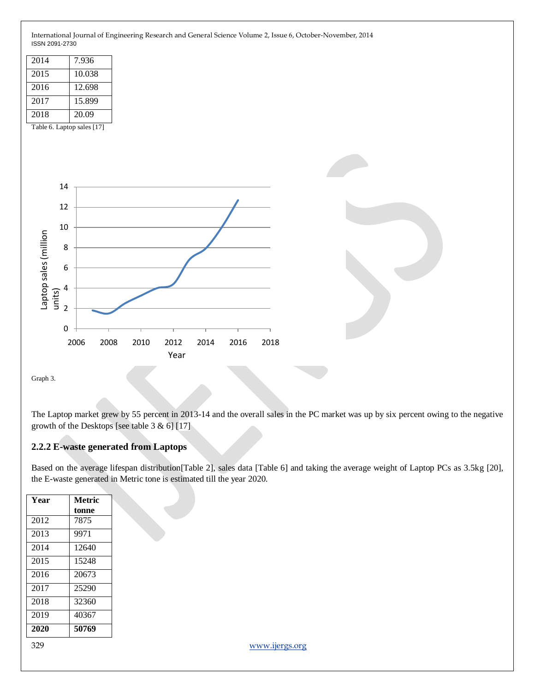

Graph 3.

The Laptop market grew by 55 percent in 2013-14 and the overall sales in the PC market was up by six percent owing to the negative growth of the Desktops [see table  $3 & 6$ ] [17]

# **2.2.2 E-waste generated from Laptops**

Based on the average lifespan distribution[Table 2], sales data [Table 6] and taking the average weight of Laptop PCs as 3.5kg [20], the E-waste generated in Metric tone is estimated till the year 2020.

| Year | <b>Metric</b> |
|------|---------------|
|      | tonne         |
| 2012 | 7875          |
| 2013 | 9971          |
| 2014 | 12640         |
| 2015 | 15248         |
| 2016 | 20673         |
| 2017 | 25290         |
| 2018 | 32360         |
| 2019 | 40367         |
| 2020 | 50769         |
|      |               |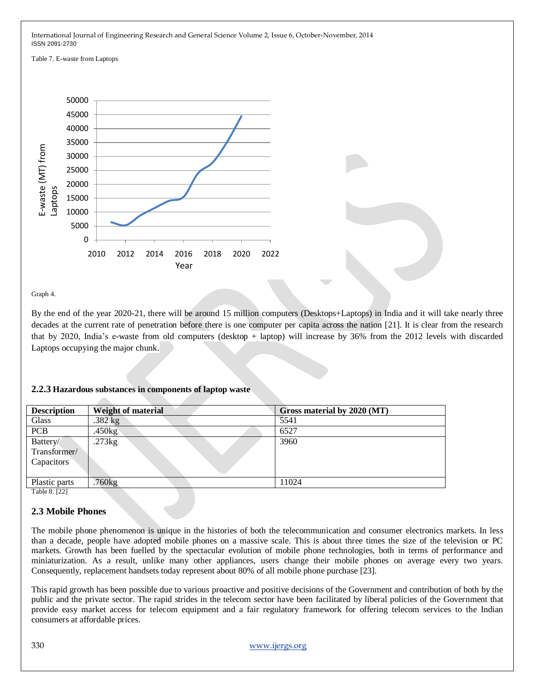Table 7. E-waste from Laptops



Graph 4.

By the end of the year 2020-21, there will be around 15 million computers (Desktops+Laptops) in India and it will take nearly three decades at the current rate of penetration before there is one computer per capita across the nation [21]. It is clear from the research that by 2020, India"s e-waste from old computers (desktop + laptop) will increase by 36% from the 2012 levels with discarded Laptops occupying the major chunk.

| <b>Description</b>                     | <b>Weight of material</b> | Gross material by 2020 (MT) |
|----------------------------------------|---------------------------|-----------------------------|
| Glass                                  | $.382$ kg                 | 5541                        |
| <b>PCB</b>                             | .450kg                    | 6527                        |
| Battery/<br>Transformer/<br>Capacitors | .273kg                    | 3960                        |
| Plastic parts                          | .760kg                    | 11024                       |
| $m + 1$ $A$ $A$ $B$                    |                           |                             |

## **2.2.3 Hazardous substances in components of laptop waste**

Table 8. [22]

## **2.3 Mobile Phones**

The mobile phone phenomenon is unique in the histories of both the telecommunication and consumer electronics markets. In less than a decade, people have adopted mobile phones on a massive scale. This is about three times the size of the television or PC markets. Growth has been fuelled by the spectacular evolution of mobile phone technologies, both in terms of performance and miniaturization. As a result, unlike many other appliances, users change their mobile phones on average every two years. Consequently, replacement handsets today represent about 80% of all mobile phone purchase [23].

This rapid growth has been possible due to various proactive and positive decisions of the Government and contribution of both by the public and the private sector. The rapid strides in the telecom sector have been facilitated by liberal policies of the Government that provide easy market access for telecom equipment and a fair regulatory framework for offering telecom services to the Indian consumers at affordable prices.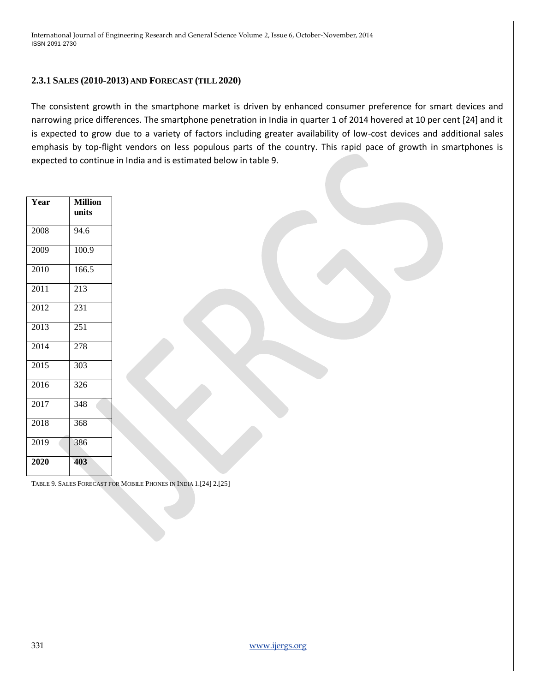#### **2.3.1 SALES (2010-2013) AND FORECAST (TILL 2020)**

The consistent growth in the smartphone market is driven by enhanced consumer preference for smart devices and narrowing price differences. The smartphone penetration in India in quarter 1 of 2014 hovered at 10 per cent [24] and it is expected to grow due to a variety of factors including greater availability of low-cost devices and additional sales emphasis by top-flight vendors on less populous parts of the country. This rapid pace of growth in smartphones is expected to continue in India and is estimated below in table 9.

| Year | <b>Million</b><br>units |
|------|-------------------------|
| 2008 | 94.6                    |
| 2009 | 100.9                   |
| 2010 | 166.5                   |
| 2011 | 213                     |
| 2012 | 231                     |
| 2013 | 251                     |
| 2014 | 278                     |
| 2015 | 303                     |
| 2016 | 326                     |
| 2017 | 348                     |
| 2018 | 368                     |
| 2019 | 386                     |
| 2020 | 403                     |

TABLE 9. SALES FORECAST FOR MOBILE PHONES IN INDIA 1.[24] 2.[25]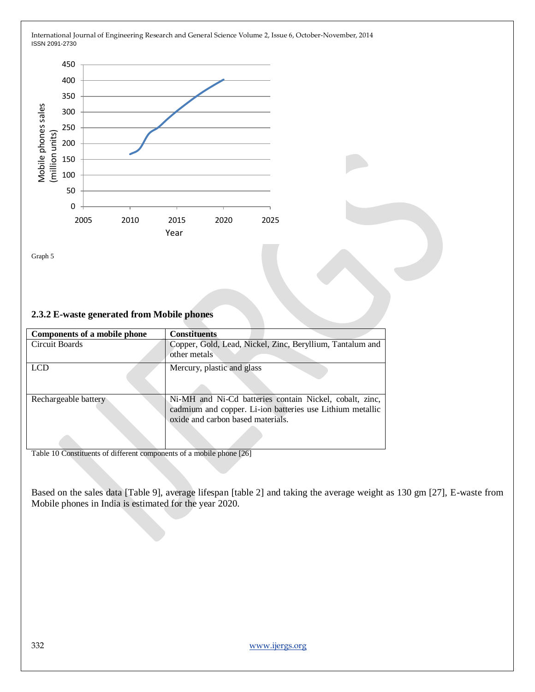

Graph 5

## **2.3.2 E-waste generated from Mobile phones**

| Components of a mobile phone | <b>Constituents</b>                                                                                                                                       |
|------------------------------|-----------------------------------------------------------------------------------------------------------------------------------------------------------|
| Circuit Boards               | Copper, Gold, Lead, Nickel, Zinc, Beryllium, Tantalum and<br>other metals                                                                                 |
| LCD                          | Mercury, plastic and glass                                                                                                                                |
| Rechargeable battery         | Ni-MH and Ni-Cd batteries contain Nickel, cobalt, zinc,<br>cadmium and copper. Li-ion batteries use Lithium metallic<br>oxide and carbon based materials. |

Table 10 Constituents of different components of a mobile phone [26]

Based on the sales data [Table 9], average lifespan [table 2] and taking the average weight as 130 gm [27], E-waste from Mobile phones in India is estimated for the year 2020.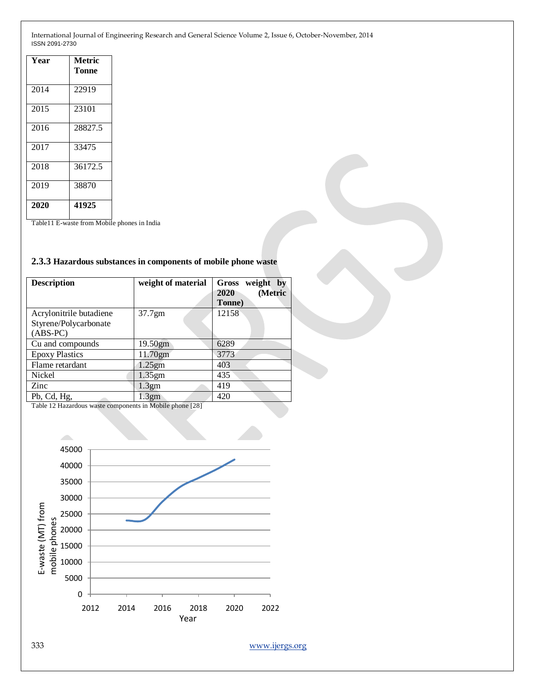| Year | Metric<br>Tonne |
|------|-----------------|
| 2014 | 22919           |
| 2015 | 23101           |
| 2016 | 28827.5         |
| 2017 | 33475           |
| 2018 | 36172.5         |
| 2019 | 38870           |
| 2020 | 41925           |

Table11 E-waste from Mobile phones in India

#### **2.3.3 Hazardous substances in components of mobile phone waste**

| <b>Description</b>                                             | weight of material | weight by<br>Gross<br>(Metric<br>2020<br>Tonne) |
|----------------------------------------------------------------|--------------------|-------------------------------------------------|
| Acrylonitrile butadiene<br>Styrene/Polycarbonate<br>$(ABS-PC)$ | 37.7gm             | 12158                                           |
| Cu and compounds                                               | 19.50gm            | 6289                                            |
| <b>Epoxy Plastics</b>                                          | 11.70gm            | 3773                                            |
| Flame retardant                                                | $1.25$ gm          | 403                                             |
| Nickel                                                         | $1.35$ gm          | 435                                             |
| Zinc                                                           | 1.3gm              | 419                                             |
| Pb, Cd, Hg,                                                    | 1.3gm              | 420                                             |

Table 12 Hazardous waste components in Mobile phone [28]

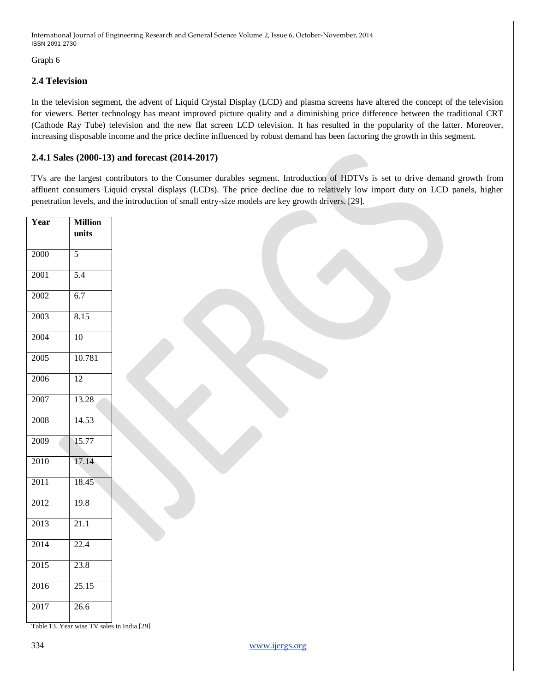Graph 6

# **2.4 Television**

In the television segment, the advent of Liquid Crystal Display (LCD) and plasma screens have altered the concept of the television for viewers. Better technology has meant improved picture quality and a diminishing price difference between the traditional CRT (Cathode Ray Tube) television and the new flat screen LCD television. It has resulted in the popularity of the latter. Moreover, increasing disposable income and the price decline influenced by robust demand has been factoring the growth in this segment.

# **2.4.1 Sales (2000-13) and forecast (2014-2017)**

TVs are the largest contributors to the Consumer durables segment. Introduction of HDTVs is set to drive demand growth from affluent consumers Liquid crystal displays (LCDs). The price decline due to relatively low import duty on LCD panels, higher penetration levels, and the introduction of small entry-size models are key growth drivers. [29].

| Year | <b>Million</b><br>$\mathbf{units}$         |                |
|------|--------------------------------------------|----------------|
|      | 5                                          |                |
| 2000 |                                            |                |
| 2001 | 5.4                                        |                |
| 2002 | 6.7                                        |                |
| 2003 | 8.15                                       |                |
| 2004 | $10$                                       |                |
| 2005 | 10.781                                     |                |
| 2006 | 12                                         |                |
| 2007 | 13.28                                      |                |
| 2008 | 14.53                                      |                |
| 2009 | 15.77                                      |                |
| 2010 | 17.14                                      |                |
| 2011 | 18.45                                      |                |
| 2012 | 19.8                                       |                |
| 2013 | 21.1                                       |                |
| 2014 | 22.4                                       |                |
| 2015 | 23.8                                       |                |
| 2016 | 25.15                                      |                |
| 2017 | 26.6                                       |                |
|      | Table 13. Year wise TV sales in India [29] |                |
| 334  |                                            | www.ijergs.org |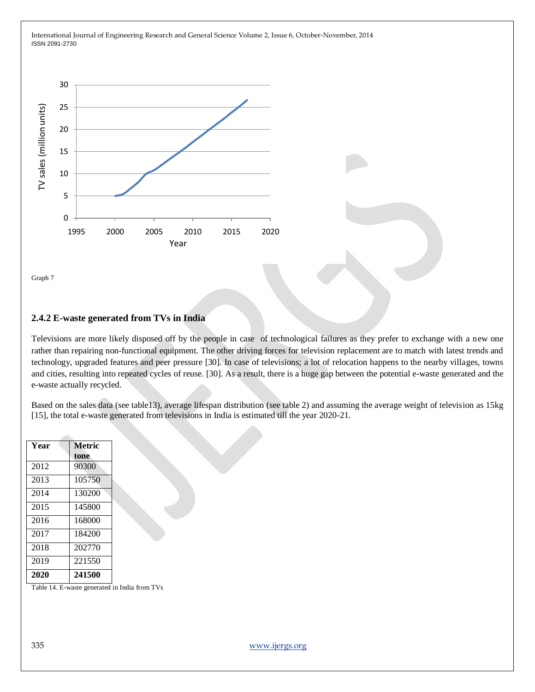

Graph 7

## **2.4.2 E-waste generated from TVs in India**

Televisions are more likely disposed off by the people in case of technological failures as they prefer to exchange with a new one rather than repairing non-functional equipment. The other driving forces for television replacement are to match with latest trends and technology, upgraded features and peer pressure [30]. In case of televisions; a lot of relocation happens to the nearby villages, towns and cities, resulting into repeated cycles of reuse. [30]. As a result, there is a huge gap between the potential e-waste generated and the e-waste actually recycled.

Based on the sales data (see table13), average lifespan distribution (see table 2) and assuming the average weight of television as 15kg [15], the total e-waste generated from televisions in India is estimated till the year 2020-21.

| Year | Metric |  |  |
|------|--------|--|--|
|      | tone   |  |  |
| 2012 | 90300  |  |  |
| 2013 | 105750 |  |  |
| 2014 | 130200 |  |  |
| 2015 | 145800 |  |  |
| 2016 | 168000 |  |  |
| 2017 | 184200 |  |  |
| 2018 | 202770 |  |  |
| 2019 | 221550 |  |  |
| 2020 | 241500 |  |  |

Table 14. E-waste generated in India from TVs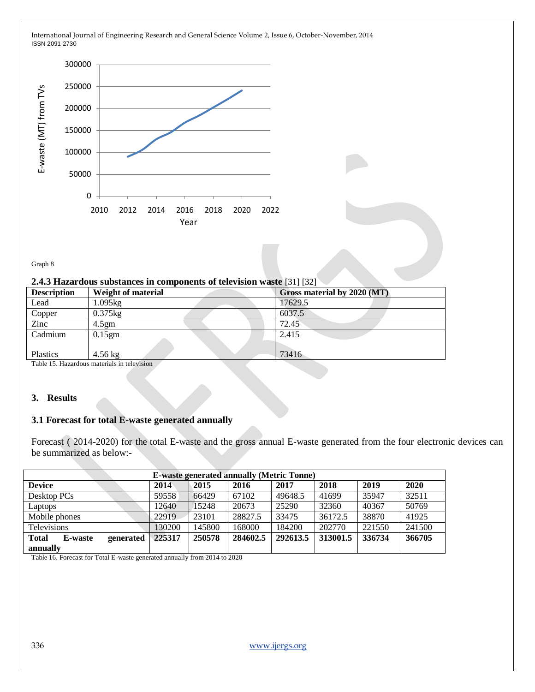

Graph 8

#### **2.4.3 Hazardous substances in components of television waste** [31] [32]

| <b>Description</b> | Weight of material                         | Gross material by 2020 (MT) |  |  |
|--------------------|--------------------------------------------|-----------------------------|--|--|
| Lead               | 1.095kg                                    | 17629.5                     |  |  |
| Copper             | $0.375$ kg                                 | 6037.5                      |  |  |
| Zinc               | 4.5gm                                      | 72.45                       |  |  |
| Cadmium            | $0.15$ gm                                  | 2.415                       |  |  |
|                    |                                            |                             |  |  |
| Plastics           | $4.56 \text{ kg}$                          | 73416                       |  |  |
|                    | Toble 15 Hazardous materials in television |                             |  |  |

Table 15. Hazardous materials in televi

# **3. Results**

## **3.1 Forecast for total E-waste generated annually**

Forecast ( 2014-2020) for the total E-waste and the gross annual E-waste generated from the four electronic devices can be summarized as below:-

| <b>E-waste generated annually (Metric Tonne)</b> |        |        |          |          |          |        |        |
|--------------------------------------------------|--------|--------|----------|----------|----------|--------|--------|
| <b>Device</b>                                    | 2014   | 2015   | 2016     | 2017     | 2018     | 2019   | 2020   |
| Desktop PCs                                      | 59558  | 66429  | 67102    | 49648.5  | 41699    | 35947  | 32511  |
| Laptops                                          | 12640  | 15248  | 20673    | 25290    | 32360    | 40367  | 50769  |
| Mobile phones                                    | 22919  | 23101  | 28827.5  | 33475    | 36172.5  | 38870  | 41925  |
| <b>Televisions</b>                               | 130200 | 145800 | 168000   | 184200   | 202770   | 221550 | 241500 |
| <b>Total</b><br>generated<br><b>E-waste</b>      | 225317 | 250578 | 284602.5 | 292613.5 | 313001.5 | 336734 | 366705 |
| annually                                         |        |        |          |          |          |        |        |

Table 16. Forecast for Total E-waste generated annually from 2014 to 2020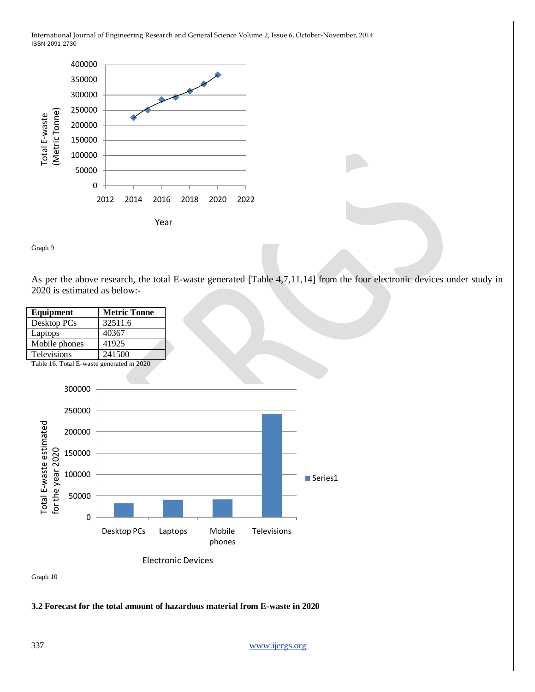

Graph 9

As per the above research, the total E-waste generated [Table 4,7,11,14] from the four electronic devices under study in 2020 is estimated as below:-

| Equipment          | <b>Metric Tonne</b> |
|--------------------|---------------------|
| Desktop PCs        | 32511.6             |
| Laptops            | 40367               |
| Mobile phones      | 41925               |
| <b>Televisions</b> | 241500              |

Table 16. Total E-waste generated in 2020



**3.2 Forecast for the total amount of hazardous material from E-waste in 2020**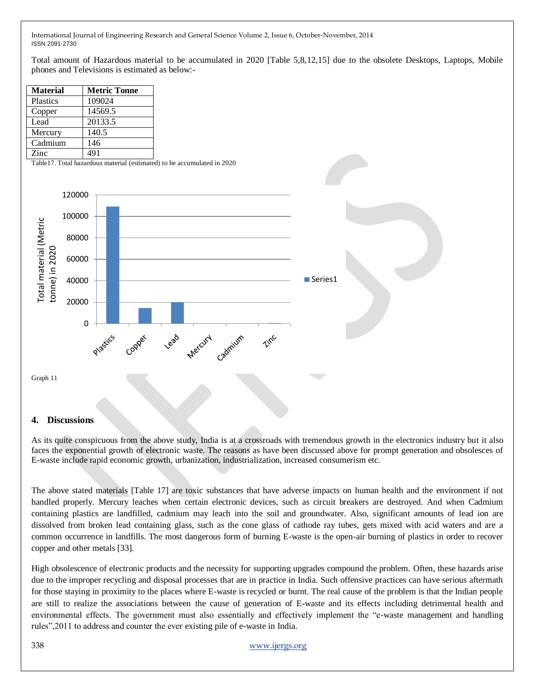Total amount of Hazardous material to be accumulated in 2020 [Table 5,8,12,15] due to the obsolete Desktops, Laptops, Mobile phones and Televisions is estimated as below:-

| <b>Material</b> | <b>Metric Tonne</b> |
|-----------------|---------------------|
| Plastics        | 109024              |
| Copper          | 14569.5             |
| Lead            | 20133.5             |
| Mercury         | 140.5               |
| Cadmium         | 146                 |
| Zinc            | 491                 |

Table17. Total hazardous material (estimated) to be accumulated in 2020



#### **4. Discussions**

As its quite conspicuous from the above study, India is at a crossroads with tremendous growth in the electronics industry but it also faces the exponential growth of electronic waste. The reasons as have been discussed above for prompt generation and obsolesces of E-waste include rapid economic growth, urbanization, industrialization, increased consumerism etc.

The above stated materials [Table 17] are toxic substances that have adverse impacts on human health and the environment if not handled properly. Mercury leaches when certain electronic devices, such as circuit breakers are destroyed. And when Cadmium containing plastics are landfilled, cadmium may leach into the soil and groundwater. Also, significant amounts of lead ion are dissolved from broken lead containing glass, such as the cone glass of cathode ray tubes, gets mixed with acid waters and are a common occurrence in landfills. The most dangerous form of burning E-waste is the open-air burning of plastics in order to recover copper and other metals [33].

High obsolescence of electronic products and the necessity for supporting upgrades compound the problem. Often, these hazards arise due to the improper recycling and disposal processes that are in practice in India. Such offensive practices can have serious aftermath for those staying in proximity to the places where E-waste is recycled or burnt. The real cause of the problem is that the Indian people are still to realize the associations between the cause of generation of E-waste and its effects including detrimental health and environmental effects. The government must also essentially and effectively implement the "e-waste management and handling rules",2011 to address and counter the ever existing pile of e-waste in India.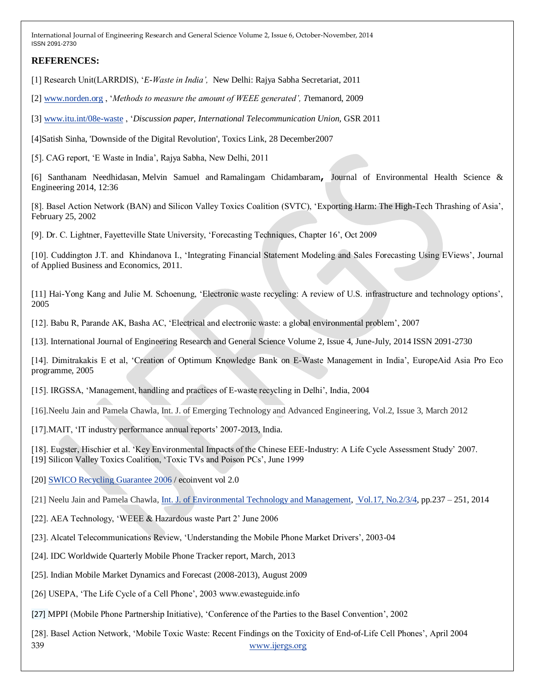## **REFERENCES:**

[1] Research Unit(LARRDIS), "*E-Waste in India',* New Delhi: Rajya Sabha Secretariat, 2011

[2] [www.norden.org](http://www.norden.org/) , "*Methods to measure the amount of WEEE generated', T*temanord, 2009

[3] [www.itu.int/08e-waste](http://www.itu.int/08e-waste) , "*Discussion paper, International Telecommunication Union,* GSR 2011

[4]Satish Sinha, 'Downside of the Digital Revolution', Toxics Link, 28 December2007

[5]. CAG report, "E Waste in India", Rajya Sabha, New Delhi, 2011

[6] Santhanam Needhidasan, Melvin Samuel and Ramalingam Chidambaram**,** Journal of Environmental Health Science & Engineering 2014, 12:36

[8]. Basel Action Network (BAN) and Silicon Valley Toxics Coalition (SVTC), 'Exporting Harm: The High-Tech Thrashing of Asia', February 25, 2002

[9]. Dr. C. Lightner, Fayetteville State University, "Forecasting Techniques, Chapter 16", Oct 2009

[10]. Cuddington J.T. and Khindanova I., "Integrating Financial Statement Modeling and Sales Forecasting Using EViews", Journal of Applied Business and Economics, 2011.

[11] Hai-Yong Kang and Julie M. Schoenung, "Electronic waste recycling: A review of U.S. infrastructure and technology options", 2005

[12]. Babu R, Parande AK, Basha AC, "Electrical and electronic waste: a global environmental problem", 2007

[13]. International Journal of Engineering Research and General Science Volume 2, Issue 4, June-July, 2014 ISSN 2091-2730

[14]. Dimitrakakis E et al, "Creation of Optimum Knowledge Bank on E-Waste Management in India", EuropeAid Asia Pro Eco programme, 2005

[15]. IRGSSA, "Management, handling and practices of E-waste recycling in Delhi", India, 2004

[16].Neelu Jain and Pamela Chawla, Int. J. of Emerging Technology and Advanced Engineering, Vol.2, Issue 3, March 2012

[17]. MAIT, 'IT industry performance annual reports' 2007-2013, India.

[18]. Eugster, Hischier et al. "Key Environmental Impacts of the Chinese EEE-Industry: A Life Cycle Assessment Study" 2007. [19] Silicon Valley Toxics Coalition, "Toxic TVs and Poison PCs", June 1999

[20] [SWICO Recycling Guarantee 2006](http://ewasteguide.info/activity_report_2005) / ecoinvent vol 2.0

[21] Neelu Jain and Pamela Chawla[, Int. J. of Environmental Technology and Management,](http://www.inderscience.com/jhome.php?jcode=ijetm) [Vol.17, No.2/3/4,](http://www.inderscience.com/info/inarticletoc.php?jcode=ijetm&year=2014&vol=17&issue=2/3/4) pp.237 – 251, 2014

- [22]. AEA Technology, "WEEE & Hazardous waste Part 2" June 2006
- [23]. Alcatel Telecommunications Review, "Understanding the Mobile Phone Market Drivers", 2003-04
- [24]. IDC Worldwide Quarterly Mobile Phone Tracker report, March, 2013
- [25]. Indian Mobile Market Dynamics and Forecast (2008-2013), August 2009
- [26] USEPA, 'The Life Cycle of a Cell Phone', 2003 www.ewasteguide.info
- [27] MPPI (Mobile Phone Partnership Initiative), "Conference of the Parties to the Basel Convention", 2002

339 [www.ijergs.org](http://www.ijergs.org/) [28]. Basel Action Network, "Mobile Toxic Waste: Recent Findings on the Toxicity of End-of-Life Cell Phones", April 2004